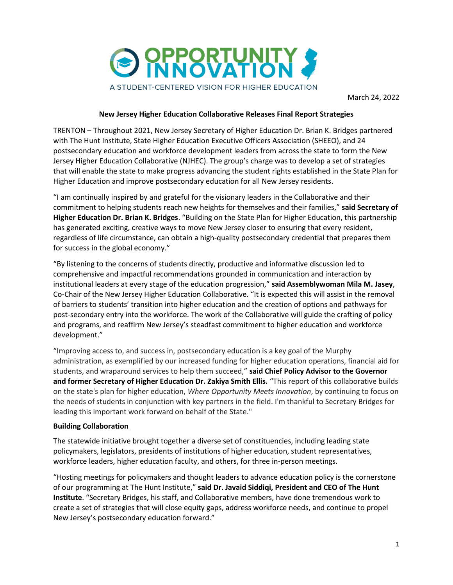

## **New Jersey Higher Education Collaborative Releases Final Report Strategies**

TRENTON – Throughout 2021, New Jersey Secretary of Higher Education Dr. Brian K. Bridges partnered with The Hunt Institute, State Higher Education Executive Officers Association (SHEEO), and 24 postsecondary education and workforce development leaders from across the state to form the New Jersey Higher Education Collaborative (NJHEC). The group's charge was to develop a set of strategies that will enable the state to make progress advancing the student rights established in the State Plan for Higher Education and improve postsecondary education for all New Jersey residents.

"I am continually inspired by and grateful for the visionary leaders in the Collaborative and their commitment to helping students reach new heights for themselves and their families," **said Secretary of Higher Education Dr. Brian K. Bridges**. "Building on the State Plan for Higher Education, this partnership has generated exciting, creative ways to move New Jersey closer to ensuring that every resident, regardless of life circumstance, can obtain a high-quality postsecondary credential that prepares them for success in the global economy."

"By listening to the concerns of students directly, productive and informative discussion led to comprehensive and impactful recommendations grounded in communication and interaction by institutional leaders at every stage of the education progression," **said Assemblywoman Mila M. Jasey**, Co-Chair of the New Jersey Higher Education Collaborative. "It is expected this will assist in the removal of barriers to students' transition into higher education and the creation of options and pathways for post-secondary entry into the workforce. The work of the Collaborative will guide the crafting of policy and programs, and reaffirm New Jersey's steadfast commitment to higher education and workforce development."

"Improving access to, and success in, postsecondary education is a key goal of the Murphy administration, as exemplified by our increased funding for higher education operations, financial aid for students, and wraparound services to help them succeed," **said Chief Policy Advisor to the Governor and former Secretary of Higher Education Dr. Zakiya Smith Ellis.** "This report of this collaborative builds on the state's plan for higher education, *Where Opportunity Meets Innovation*, by continuing to focus on the needs of students in conjunction with key partners in the field. I'm thankful to Secretary Bridges for leading this important work forward on behalf of the State."

## **Building Collaboration**

The statewide initiative brought together a diverse set of constituencies, including leading state policymakers, legislators, presidents of institutions of higher education, student representatives, workforce leaders, higher education faculty, and others, for three in-person meetings.

"Hosting meetings for policymakers and thought leaders to advance education policy is the cornerstone of our programming at The Hunt Institute," **said Dr. Javaid Siddiqi, President and CEO of The Hunt Institute**. "Secretary Bridges, his staff, and Collaborative members, have done tremendous work to create a set of strategies that will close equity gaps, address workforce needs, and continue to propel New Jersey's postsecondary education forward."